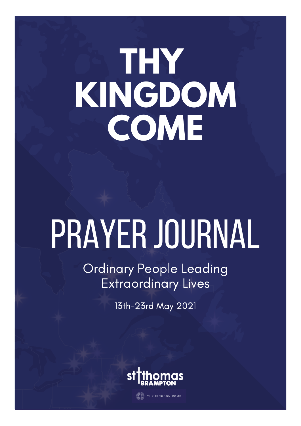## **THY KINGDOM COME**

# PRAYER JOURNAL

Ordinary People Leading Extraordinary Lives

13th-23rd May 2021



**AND THY KINGDOM COME**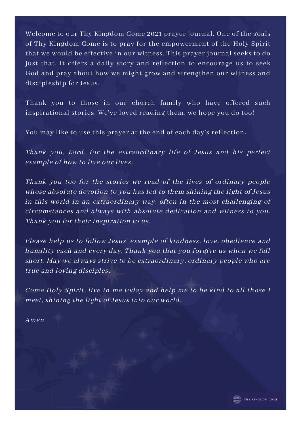Welcome to our Thy Kingdom Come 2021 prayer journal. One of the goals of Thy Kingdom Come is to pray for the empowerment of the Holy Spirit that we would be effective in our witness. This prayer journal seeks to do just that. It offers a daily story and reflection to encourage us to seek God and pray about how we might grow and strengthen our witness and discipleship for Jesus.

Thank you to those in our church family who have offered such inspirational stories. We've loved reading them, we hope you do too!

You may like to use this prayer at the end of each day's reflection:

Thank you, Lord, for the extraordinary life of Jesus and his perfect example of how to live our lives.

Thank you too for the stories we read of the lives of ordinary people whose absolute devotion to you has led to them shining the light of Jesus in this world in an extraordinary way, often in the most challenging of circumstances and always with absolute dedication and witness to you. Thank you for their inspiration to us.

Please help us to follow Jesus' example of kindness, love, obedience and humility each and every day. Thank you that you forgive us when we fall short. May we always strive to be extraordinary, ordinary people who are true and loving disciples.

Come Holy Spirit, live in me today and help me to be kind to all those I meet, shining the light of Jesus into our world.

Amen

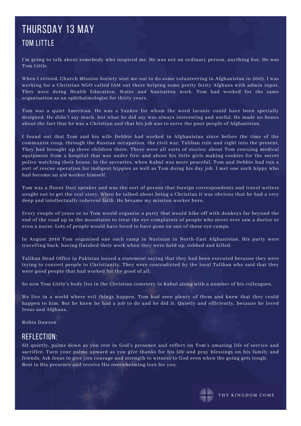## Thursday 13 May Tom Little

I'm going to talk about somebody who inspired me. He was not an ordinary person, anything but. He was Tom Little.

When I retired, Church Mission Society sent me out to do some volunteering in Afghanistan in 2005. I was working for a Christian NGO called IAM out there helping some pretty feisty Afghans with admin input. They were doing Health Education, Water and Sanitation work. Tom had worked for the same organisation as an ophthalmologist for thirty years.

Tom was a quiet American. He was a Yankee for whom the word laconic could have been specially designed. He didn't say much, but what he did say was always interesting and useful. He made no bones about the fact that he was a Christian and that his job was to serve the poor people of Afghanistan.

I found out that Tom and his wife Debbie had worked in Afghanistan since before the time of the communist coup, through the Russian occupation, the civil war, Taliban rule and right into the present. They had brought up three children there. There were all sorts of stories; about Tom rescuing medical equipment from a hospital that was under fire; and about his little girls making cookies for the secret police watching their house. In the seventies, when Kabul was more peaceful, Tom and Debbie had run a sort of rescue operation for indigent hippies as well as Tom doing his day job. I met one such hippy who had become an aid worker himself.

Tom was a fluent Dari speaker and was the sort of person that foreign correspondents and travel writers sought out to get the real story. When he talked about being a Christian it was obvious that he had a very deep and intellectually coherent faith. He became my mission worker hero.

Every couple of years or so Tom would organise a party that would hike off with donkeys far beyond the end of the road up in the mountains to treat the eye complaints of people who never ever saw a doctor or even a nurse. Lots of people would have loved to have gone on one of these eye camps.

In August 2010 Tom organised one such camp in Nuristan in North-East Afghanistan. His party were travelling back, having finished their work when they were held up, robbed and killed.

Taliban Head Office in Pakistan issued a statement saying that they had been executed because they were trying to convert people to Christianity. They were contradicted by the local Taliban who said that they were good people that had worked for the good of all.

So now Tom Little's body lies in the Christian cemetery in Kabul along with a number of his colleagues.

We live in a world where evil things happen. Tom had seen plenty of them and knew that they could happen to him. But he knew he had a job to do and he did it. Quietly and efficiently, because he loved Jesus and Afghans.

Robin Dawson

#### Reflection:

Sit quietly, palms down as you rest in God's presence and reflect on Tom's amazing life of service and sacrifice. Turn your palms upward as you give thanks for his life and pray blessings on his family and friends. Ask Jesus to give you courage and strength to witness to God even when the going gets tough. Rest in His presence and receive His overwhelming love for you.

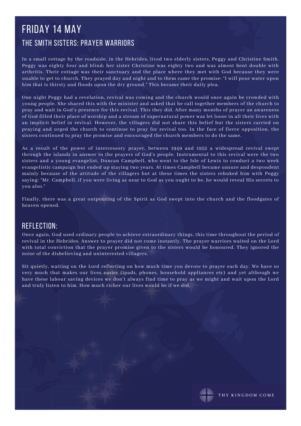## friday 14 May The Smith Sisters: Prayer Warriors

In a small cottage by the roadside, in the Hebrides, lived two elderly sisters, Peggy and Christine Smith. Peggy was eighty four and blind; her sister Christine was eighty two and was almost bent double with arthritis. Their cottage was their sanctuary and the place where they met with God because they were unable to get to church. They prayed day and night and to them came the promise: "I will pour water upon him that is thirsty and floods upon the dry ground." This became their daily plea.

One night Peggy had a revelation, revival was coming and the church would once again be crowded with young people. She shared this with the minister and asked that he call together members of the church to pray and wait in God's presence for this revival. This they did. After many months of prayer an awareness of God filled their place of worship and a stream of supernatural power was let loose in all their lives with an implicit belief in revival. However, the villagers did not share this belief but the sisters carried on praying and urged the church to continue to pray for revival too. In the face of fierce opposition, the sisters continued to pray the promise and encouraged the church members to do the same.

As a result of the power of intercessory prayer, between 1949 and 1952 a widespread revival swept through the islands in answer to the prayers of God's people. Instrumental to this revival were the two sisters and a young evangelist, Duncan Campbell, who went to the Isle of Lewis to conduct a two week evangelistic campaign but ended up staying two years. At times Campbell became unsure and despondent mainly because of the attitude of the villagers but at these times the sisters rebuked him with Peggy saying: "Mr. Campbell, if you were living as near to God as you ought to be, he would reveal His secrets to you also."

Finally, there was a great outpouring of the Spirit as God swept into the church and the floodgates of heaven opened.

#### Reflection:

Once again, God used ordinary people to achieve extraordinary things, this time throughout the period of revival in the Hebrides. Answer to prayer did not come instantly. The prayer warriors waited on the Lord with total conviction that the prayer promise given to the sisters would be honoured. They ignored the noise of the disbelieving and uninterested villagers.

Sit quietly, waiting on the Lord reflecting on how much time you devote to prayer each day. We have so very much that makes our lives easier (ipads, phones, household appliances etc) and yet although we have these labour saving devices we don't always find time to pray as we might and wait upon the Lord and truly listen to him. How much richer our lives would be if we did.

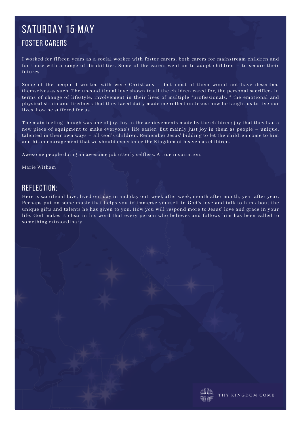## SATURDAY 15 MAY Foster Carers

I worked for fifteen years as a social worker with foster carers; both carers for mainstream children and for those with a range of disabilities. Some of the carers went on to adopt children – to secure their futures.

Some of the people I worked with were Christians – but most of them would not have described themselves as such. The unconditional love shown to all the children cared for, the personal sacrifice- in terms of change of lifestyle, involvement in their lives of multiple "professionals, " the emotional and physical strain and tiredness that they faced daily made me reflect on Jesus; how he taught us to live our lives; how he suffered for us.

The main feeling though was one of joy. Joy in the achievements made by the children; joy that they had a new piece of equipment to make everyone's life easier. But mainly just joy in them as people – unique, talented in their own ways – all God's children. Remember Jesus' bidding to let the children come to him and his encouragement that we should experience the Kingdom of heaven as children.

Awesome people doing an awesome job utterly selfless. A true inspiration.

#### Marie Witham

#### Reflection:

Here is sacrificial love, lived out day in and day out, week after week, month after month, year after year. Perhaps put on some music that helps you to immerse yourself in God's love and talk to him about the unique gifts and talents he has given to you. How you will respond more to Jesus' love and grace in your life. God makes it clear in his word that every person who believes and follows him has been called to something extraordinary.

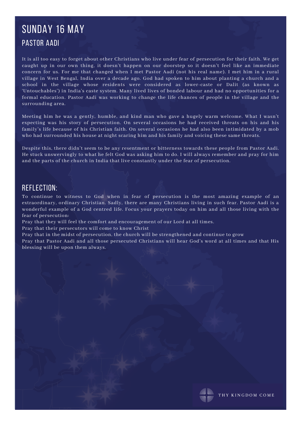## Sunday 16 May Pastor Aadi

It is all too easy to forget about other Christians who live under fear of persecution for their faith. We get caught up in our own thing, it doesn't happen on our doorstep so it doesn't feel like an immediate concern for us. For me that changed when I met Pastor Aadi (not his real name). I met him in a rural village in West Bengal, India over a decade ago. God had spoken to him about planting a church and a school in the village whose residents were considered as lower-caste or Dalit (as known as 'Untouchables') in India's caste system. Many lived lives of bonded labour and had no opportunities for a formal education. Pastor Aadi was working to change the life chances of people in the village and the surrounding area.

Meeting him he was a gently, humble, and kind man who gave a hugely warm welcome. What I wasn't expecting was his story of persecution. On several occasions he had received threats on his and his family's life because of his Christian faith. On several occasions he had also been intimidated by a mob who had surrounded his house at night scaring him and his family and voicing these same threats.

Despite this, there didn't seem to be any resentment or bitterness towards these people from Pastor Aadi. He stuck unswervingly to what he felt God was asking him to do. I will always remember and pray for him and the parts of the church in India that live constantly under the fear of persecution.

#### Reflection:

To continue to witness to God when in fear of persecution is the most amazing example of an extraordinary, ordinary Christian. Sadly, there are many Christians living in such fear. Pastor Aadi is a wonderful example of a God centred life. Focus your prayers today on him and all those living with the fear of persecution:

Pray that they will feel the comfort and encouragement of our Lord at all times.

Pray that their persecutors will come to know Christ

Pray that in the midst of persecution, the church will be strengthened and continue to grow

Pray that Pastor Aadi and all those persecuted Christians will hear God's word at all times and that His blessing will be upon them always.

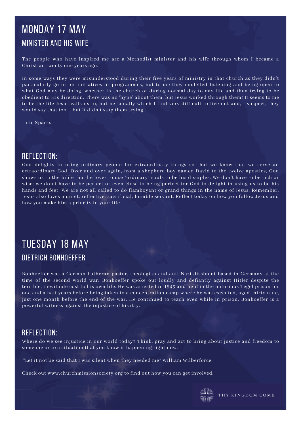## Monday 17 may Minister and his wife

The people who have inspired me are a Methodist minister and his wife through whom I became a Christian twenty one years ago.

In some ways they were misunderstood during their five years of ministry in that church as they didn't particularly go in for initiatives or programmes, but to me they modelled listening and being open to what God may be doing, whether in the church or during normal day to day life and then trying to be obedient to His direction. There was no 'hype' about them, but Jesus worked through them! It seems to me to be the life Jesus calls us to, but personally which I find very difficult to live out and, I suspect, they would say that too … but it didn't stop them trying.

Julie Sparks

#### Reflection:

God delights in using ordinary people for extraordinary things so that we know that we serve an extraordinary God. Over and over again, from a shepherd boy named David to the twelve apostles, God shows us in the bible that he loves to use "ordinary" souls to be his disciples. We don't have to be rich or wise; we don't have to be perfect or even close to being perfect for God to delight in using us to be his hands and feet. We are not all called to do flamboyant or grand things in the name of Jesus. Remember, Jesus also loves a quiet, reflective, sacrificial, humble servant. Reflect today on how you follow Jesus and how you make him a priority in your life.

## tuesday 18 may Dietrich Bonhoeffer

Bonhoeffer was a German Lutheran pastor, theologian and anti Nazi dissident based in Germany at the time of the second world war. Bonhoeffer spoke out loudly and defiantly against Hitler despite the terrible, inevitable cost to his own life. He was arrested in 1943 and held in the notorious Tegel prison for one and a half years before being taken to a concentration camp where he was executed, aged thirty nine, just one month before the end of the war. He continued to teach even while in prison. Bonhoeffer is a powerful witness against the injustice of his day.

#### Reflection:

Where do we see injustice in our world today? Think, pray and act to bring about justice and freedom to someone or to a situation that you know is happening right now.

"Let it not be said that I was silent when they needed me" William Wilberforce.

Check out [www.churchmissionsociety.org](http://www.churchmissionsociety.org/) to find out how you can get involved.

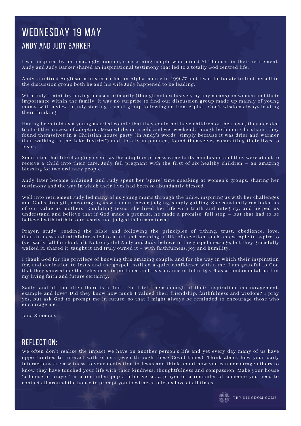## WEDNESDAY 19 MAY Andy and Judy Barker

I was inspired by an amazingly humble, unassuming couple who joined St Thomas' in their retirement. Andy and Judy Barker shared an inspirational testimony that led to a totally God centred life.

Andy, a retired Anglican minister co-led an Alpha course in 1996/7 and I was fortunate to find myself in the discussion group both he and his wife Judy happened to be leading.

With Judy's ministry having focused primarily (though not exclusively by any means) on women and their importance within the family, it was no surprise to find our discussion group made up mainly of young mums, with a view to Judy starting a small group following on from Alpha - God's wisdom always leading their thinking!

Having been told as a young married couple that they could not have children of their own, they decided to start the process of adoption. Meanwhile, on a cold and wet weekend, though both non-Christians, they found themselves in a Christian house party (in Andy's words "simply because it was drier and warmer than walking in the Lake District") and, totally unplanned, found themselves committing their lives to Jesus.

Soon after that life changing event, as the adoption process came to its conclusion and they were about to receive a child into their care, Judy fell pregnant with the first of six healthy children – an amazing blessing for two ordinary people.

Andy later became ordained, and Judy spent her 'spare' time speaking at women's groups, sharing her testimony and the way in which their lives had been so abundantly blessed.

Well into retirement Judy led many of us young mums through the bible, inspiring us with her challenges and God's strength, encouraging us with ours; never judging, simply guiding. She constantly reminded us of our value as mothers. Emulating Jesus, she lived her life with truth and integrity, and helped us understand and believe that if God made a promise, he made a promise, full stop – but that had to be believed with faith in our hearts, not judged in human terms.

Prayer, study, reading the bible and following the principles of tithing, trust, obedience, love, thankfulness and faithfulness led to a full and meaningful life of devotion; such an example to aspire to (yet sadly fall far short of). Not only did Andy and Judy believe in the gospel message, but they gracefully walked it, shared it, taught it and truly owned it – with faithfulness, joy and humility.

I thank God for the privilege of knowing this amazing couple, and for the way in which their inspiration for, and dedication to Jesus and the gospel instilled a quiet confidence within me. I am grateful to God that they showed me the relevance, importance and reassurance of John 14 v 6 as a fundamental part of my living faith and future certainty.

Sadly, and all too often there is a 'but'. Did I tell them enough of their inspiration, encouragement, example and love? Did they know how much I valued their friendship, faithfulness and wisdom? I pray yes, but ask God to prompt me in future, so that I might always be reminded to encourage those who encourage me.

Jane Simmons

#### Reflection:

We often don't realise the impact we have on another person's life and yet every day many of us have opportunities to interact with others (even through these Covid times). Think about how your daily interactions are a witness to your dedication to Jesus and think about how you can encourage others to know they have touched your life with their kindness, thoughtfulness and compassion. Make your house "a house of prayer" as a reminder; pop a bible verse, a prayer or a reminder of someone you need to contact all around the house to prompt you to witness to Jesus love at all times.

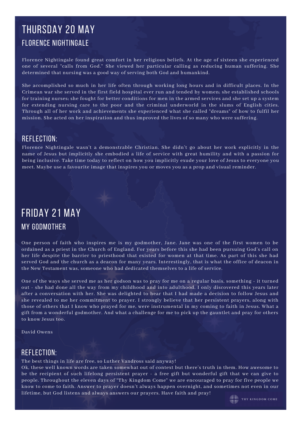## Thursday 20 may Florence Nightingale

Florence Nightingale found great comfort in her religious beliefs. At the age of sixteen she experienced one of several "calls from God." She viewed her particular calling as reducing human suffering. She determined that nursing was a good way of serving both God and humankind.

She accomplished so much in her life often through working long hours and in difficult places. In the Crimean war she served in the first field hospital ever run and tended by women; she established schools for training nurses; she fought for better conditions for men in the armed services and she set up a system for extending nursing care to the poor and the criminal underworld in the slums of English cities. Through all of her work and achievements she experienced what she called "dreams" of how to fulfil her mission. She acted on her inspiration and thus improved the lives of so many who were suffering.

#### Reflection:

Florence Nightingale wasn't a demonstrable Christian. She didn't go about her work explicitly in the name of Jesus but implicitly she embodied a life of service with great humility and with a passion for being inclusive. Take time today to reflect on how you implicitly exude your love of Jesus to everyone you meet. Maybe use a favourite image that inspires you or moves you as a prop and visual reminder.

## Friday 21 may My Godmother

One person of faith who inspires me is my godmother, Jane. Jane was one of the first women to be ordained as a priest in the Church of England. For years before this she had been pursuing God's call on her life despite the barrier to priesthood that existed for women at that time. As part of this she had served God and the church as a deacon for many years. Interestingly, that is what the office of deacon in the New Testament was, someone who had dedicated themselves to a life of service.

One of the ways she served me as her godson was to pray for me on a regular basis, something - it turned out - she had done all the way from my childhood and into adulthood. I only discovered this years later after a conversation with her. She was delighted to hear that I had made a decision to follow Jesus and she revealed to me her commitment to prayer. I strongly believe that her persistent prayers, along with those of others that I know who prayed for me, were instrumental in my coming to faith in Jesus. What a gift from a wonderful godmother. And what a challenge for me to pick up the gauntlet and pray for others to know Jesus too.

David Owens

#### Reflection:

The best things in life are free, so Luther Vandross said anyway!

Ok, these well known words are taken somewhat out of context but there's truth in them. How awesome to be the recipient of such lifelong persistent prayer - a free gift but wonderful gift that we can give to people. Throughout the eleven days of "Thy Kingdom Come" we are encouraged to pray for five people we know to come to faith. Answer to prayer doesn't always happen overnight, and sometimes not even in our lifetime, but God listens and always answers our prayers. Have faith and pray!

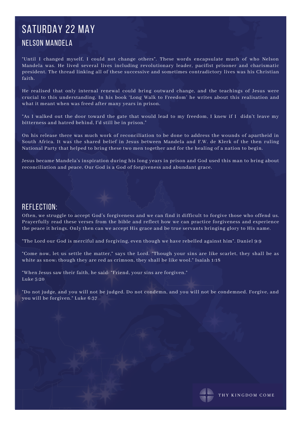## SATURDAY 22 MAY Nelson Mandela

"Until I changed myself, I could not change others". These words encapsulate much of who Nelson Mandela was. He lived several lives including revolutionary leader, pacifist prisoner and charismatic president. The thread linking all of these successive and sometimes contradictory lives was his Christian faith.

He realised that only internal renewal could bring outward change, and the teachings of Jesus were crucial to this understanding. In his book 'Long Walk to Freedom' he writes about this realisation and what it meant when was freed after many years in prison.

"As I walked out the door toward the gate that would lead to my freedom, I knew if I didn't leave my bitterness and hatred behind, I'd still be in prison."

On his release there was much work of reconciliation to be done to address the wounds of apartheid in South Africa. It was the shared belief in Jesus between Mandela and F.W. de Klerk of the then ruling National Party that helped to bring these two men together and for the healing of a nation to begin.

Jesus became Mandela's inspiration during his long years in prison and God used this man to bring about reconciliation and peace. Our God is a God of forgiveness and abundant grace.

#### Reflection:

Often, we struggle to accept God's forgiveness and we can find it difficult to forgive those who offend us. Prayerfully read these verses from the bible and reflect how we can practice forgiveness and experience the peace it brings. Only then can we accept His grace and be true servants bringing glory to His name.

"The Lord our God is merciful and forgiving, even though we have rebelled against him". Daniel 9:9

"Come now, let us settle the matter," says the Lord. "Though your sins are like scarlet, they shall be as white as snow; though they are red as crimson, they shall be like wool." Isaiah 1:18

"When Jesus saw their faith, he said: "Friend, your sins are forgiven." Luke 5:20

"Do not judge, and you will not be judged. Do not condemn, and you will not be condemned. Forgive, and you will be forgiven." Luke 6:37